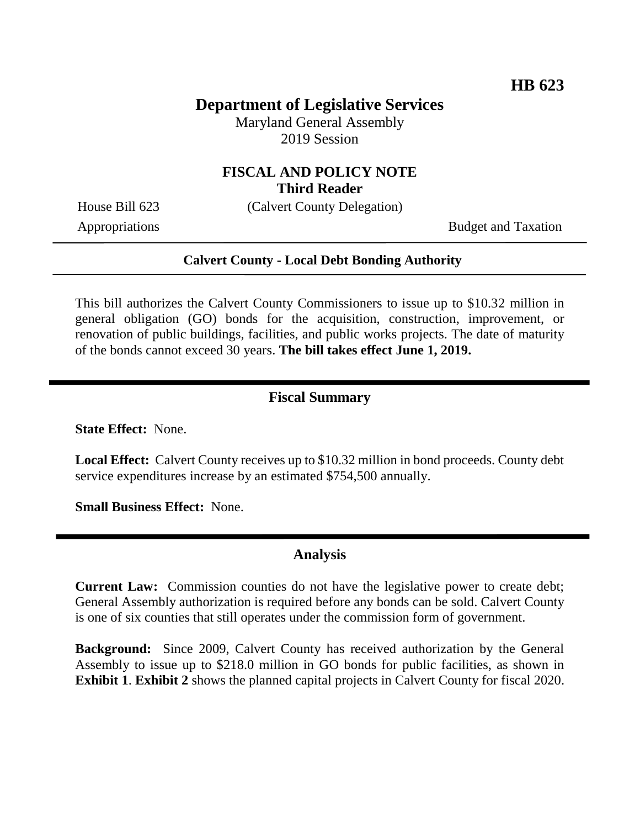## **Department of Legislative Services**

Maryland General Assembly 2019 Session

# **FISCAL AND POLICY NOTE**

**Third Reader**

House Bill 623 (Calvert County Delegation) Appropriations Budget and Taxation

#### **Calvert County - Local Debt Bonding Authority**

This bill authorizes the Calvert County Commissioners to issue up to \$10.32 million in general obligation (GO) bonds for the acquisition, construction, improvement, or renovation of public buildings, facilities, and public works projects. The date of maturity of the bonds cannot exceed 30 years. **The bill takes effect June 1, 2019.**

#### **Fiscal Summary**

**State Effect:** None.

**Local Effect:** Calvert County receives up to \$10.32 million in bond proceeds. County debt service expenditures increase by an estimated \$754,500 annually.

**Small Business Effect:** None.

#### **Analysis**

**Current Law:** Commission counties do not have the legislative power to create debt; General Assembly authorization is required before any bonds can be sold. Calvert County is one of six counties that still operates under the commission form of government.

**Background:** Since 2009, Calvert County has received authorization by the General Assembly to issue up to \$218.0 million in GO bonds for public facilities, as shown in **Exhibit 1**. **Exhibit 2** shows the planned capital projects in Calvert County for fiscal 2020.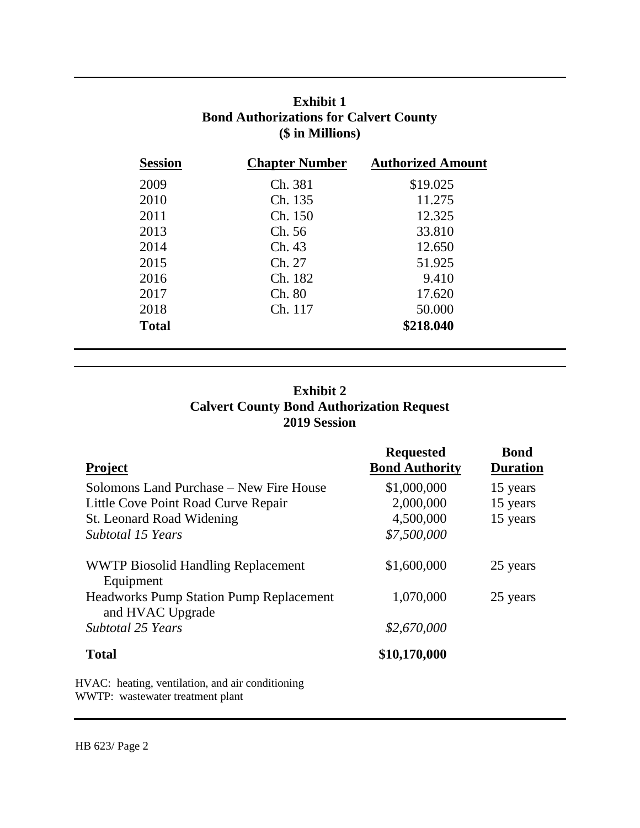| <b>Exhibit 1</b>                              |
|-----------------------------------------------|
| <b>Bond Authorizations for Calvert County</b> |
| (\$ in Millions)                              |

| <b>Session</b> | <b>Chapter Number</b> | <b>Authorized Amount</b> |
|----------------|-----------------------|--------------------------|
| 2009           | Ch. 381               | \$19.025                 |
| 2010           | Ch. 135               | 11.275                   |
| 2011           | Ch. 150               | 12.325                   |
| 2013           | Ch. 56                | 33.810                   |
| 2014           | Ch. 43                | 12.650                   |
| 2015           | Ch. 27                | 51.925                   |
| 2016           | Ch. 182               | 9.410                    |
| 2017           | Ch. 80                | 17.620                   |
| 2018           | Ch. 117               | 50.000                   |
| <b>Total</b>   |                       | \$218.040                |

### **Exhibit 2 Calvert County Bond Authorization Request 2019 Session**

|                                                                    | <b>Requested</b>      | <b>Bond</b>     |
|--------------------------------------------------------------------|-----------------------|-----------------|
| <b>Project</b>                                                     | <b>Bond Authority</b> | <b>Duration</b> |
| Solomons Land Purchase – New Fire House                            | \$1,000,000           | 15 years        |
| Little Cove Point Road Curve Repair                                | 2,000,000             | 15 years        |
| St. Leonard Road Widening                                          | 4,500,000             | 15 years        |
| Subtotal 15 Years                                                  | \$7,500,000           |                 |
| <b>WWTP Biosolid Handling Replacement</b><br>Equipment             | \$1,600,000           | 25 years        |
| <b>Headworks Pump Station Pump Replacement</b><br>and HVAC Upgrade | 1,070,000             | 25 years        |
| <b>Subtotal 25 Years</b>                                           | \$2,670,000           |                 |
| <b>Total</b>                                                       | \$10,170,000          |                 |
|                                                                    |                       |                 |

HVAC: heating, ventilation, and air conditioning WWTP: wastewater treatment plant